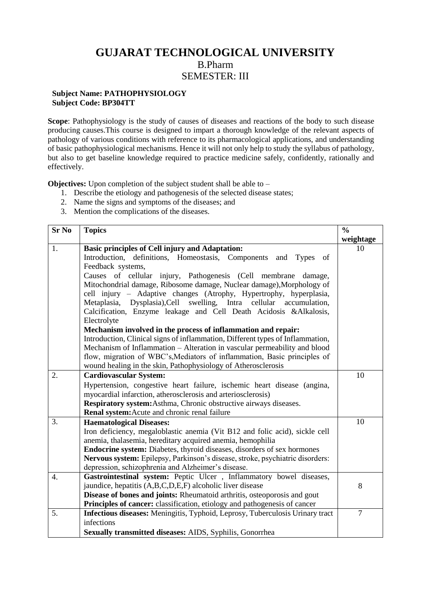## **GUJARAT TECHNOLOGICAL UNIVERSITY** B.Pharm SEMESTER: III

## **Subject Name: PATHOPHYSIOLOGY Subject Code: BP304TT**

**Scope**: Pathophysiology is the study of causes of diseases and reactions of the body to such disease producing causes.This course is designed to impart a thorough knowledge of the relevant aspects of pathology of various conditions with reference to its pharmacological applications, and understanding of basic pathophysiological mechanisms. Hence it will not only help to study the syllabus of pathology, but also to get baseline knowledge required to practice medicine safely, confidently, rationally and effectively.

**Objectives:** Upon completion of the subject student shall be able to –

- 1. Describe the etiology and pathogenesis of the selected disease states;
- 2. Name the signs and symptoms of the diseases; and
- 3. Mention the complications of the diseases.

| <b>Sr No</b>     | <b>Topics</b>                                                                                                                                         | $\frac{0}{0}$  |
|------------------|-------------------------------------------------------------------------------------------------------------------------------------------------------|----------------|
|                  |                                                                                                                                                       | weightage      |
| 1.               | <b>Basic principles of Cell injury and Adaptation:</b>                                                                                                | 10             |
|                  | Introduction, definitions, Homeostasis, Components and Types<br>of                                                                                    |                |
|                  | Feedback systems,                                                                                                                                     |                |
|                  | Causes of cellular injury, Pathogenesis (Cell membrane<br>damage,                                                                                     |                |
|                  | Mitochondrial damage, Ribosome damage, Nuclear damage), Morphology of                                                                                 |                |
|                  | cell injury - Adaptive changes (Atrophy, Hypertrophy, hyperplasia,                                                                                    |                |
|                  | Metaplasia, Dysplasia), Cell swelling, Intra cellular<br>accumulation,                                                                                |                |
|                  | Calcification, Enzyme leakage and Cell Death Acidosis &Alkalosis,                                                                                     |                |
|                  | Electrolyte                                                                                                                                           |                |
|                  | Mechanism involved in the process of inflammation and repair:                                                                                         |                |
|                  | Introduction, Clinical signs of inflammation, Different types of Inflammation,                                                                        |                |
|                  | Mechanism of Inflammation – Alteration in vascular permeability and blood<br>flow, migration of WBC's, Mediators of inflammation, Basic principles of |                |
|                  | wound healing in the skin, Pathophysiology of Atherosclerosis                                                                                         |                |
| 2.               | <b>Cardiovascular System:</b>                                                                                                                         | 10             |
|                  | Hypertension, congestive heart failure, ischemic heart disease (angina,                                                                               |                |
|                  | myocardial infarction, atherosclerosis and arteriosclerosis)                                                                                          |                |
|                  | Respiratory system: Asthma, Chronic obstructive airways diseases.                                                                                     |                |
|                  | Renal system: Acute and chronic renal failure                                                                                                         |                |
| 3.               | <b>Haematological Diseases:</b>                                                                                                                       | 10             |
|                  | Iron deficiency, megaloblastic anemia (Vit B12 and folic acid), sickle cell                                                                           |                |
|                  | anemia, thalasemia, hereditary acquired anemia, hemophilia                                                                                            |                |
|                  | Endocrine system: Diabetes, thyroid diseases, disorders of sex hormones                                                                               |                |
|                  | Nervous system: Epilepsy, Parkinson's disease, stroke, psychiatric disorders:                                                                         |                |
|                  | depression, schizophrenia and Alzheimer's disease.                                                                                                    |                |
| $\overline{4}$ . | Gastrointestinal system: Peptic Ulcer, Inflammatory bowel diseases,                                                                                   |                |
|                  | jaundice, hepatitis (A,B,C,D,E,F) alcoholic liver disease                                                                                             | 8              |
|                  | Disease of bones and joints: Rheumatoid arthritis, osteoporosis and gout                                                                              |                |
|                  | Principles of cancer: classification, etiology and pathogenesis of cancer                                                                             |                |
| 5.               | Infectious diseases: Meningitis, Typhoid, Leprosy, Tuberculosis Urinary tract                                                                         | $\overline{7}$ |
|                  | infections                                                                                                                                            |                |
|                  | Sexually transmitted diseases: AIDS, Syphilis, Gonorrhea                                                                                              |                |